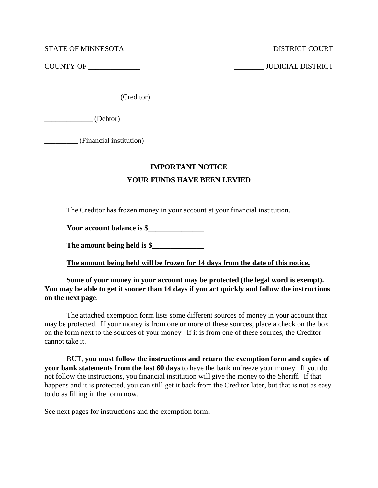STATE OF MINNESOTA DISTRICT COURT

COUNTY OF \_\_\_\_\_\_\_\_\_\_\_\_\_\_ \_\_\_\_\_\_\_\_ JUDICIAL DISTRICT

 $\begin{array}{ccc} \hline \text{Creditor} \end{array}$ 

\_\_\_\_\_\_\_\_\_\_\_\_\_ (Debtor)

\_\_\_\_\_\_\_\_\_ (Financial institution)

## **IMPORTANT NOTICE**

# **YOUR FUNDS HAVE BEEN LEVIED**

The Creditor has frozen money in your account at your financial institution.

Your account balance is \$

The amount being held is \$

**The amount being held will be frozen for 14 days from the date of this notice.**

**Some of your money in your account may be protected (the legal word is exempt). You may be able to get it sooner than 14 days if you act quickly and follow the instructions on the next page**.

The attached exemption form lists some different sources of money in your account that may be protected. If your money is from one or more of these sources, place a check on the box on the form next to the sources of your money. If it is from one of these sources, the Creditor cannot take it.

BUT, **you must follow the instructions and return the exemption form and copies of your bank statements from the last 60 days** to have the bank unfreeze your money. If you do not follow the instructions, you financial institution will give the money to the Sheriff. If that happens and it is protected, you can still get it back from the Creditor later, but that is not as easy to do as filling in the form now.

See next pages for instructions and the exemption form.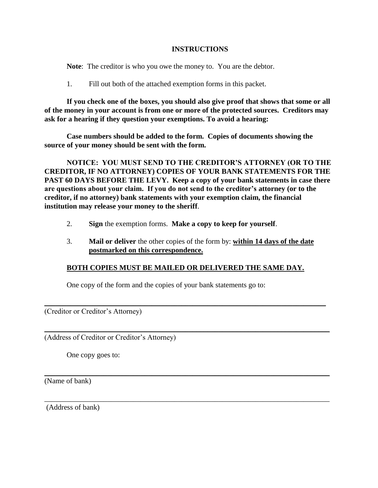### **INSTRUCTIONS**

**Note**: The creditor is who you owe the money to. You are the debtor.

1. Fill out both of the attached exemption forms in this packet.

**If you check one of the boxes, you should also give proof that shows that some or all of the money in your account is from one or more of the protected sources. Creditors may ask for a hearing if they question your exemptions. To avoid a hearing:**

**Case numbers should be added to the form. Copies of documents showing the source of your money should be sent with the form.**

**NOTICE: YOU MUST SEND TO THE CREDITOR'S ATTORNEY (OR TO THE CREDITOR, IF NO ATTORNEY) COPIES OF YOUR BANK STATEMENTS FOR THE PAST 60 DAYS BEFORE THE LEVY. Keep a copy of your bank statements in case there are questions about your claim. If you do not send to the creditor's attorney (or to the creditor, if no attorney) bank statements with your exemption claim, the financial institution may release your money to the sheriff**.

- 2. **Sign** the exemption forms. **Make a copy to keep for yourself**.
- 3. **Mail or deliver** the other copies of the form by: **within 14 days of the date postmarked on this correspondence.**

## **BOTH COPIES MUST BE MAILED OR DELIVERED THE SAME DAY.**

\_\_\_\_\_\_\_\_\_\_\_\_\_\_\_\_\_\_\_\_\_\_\_\_\_\_\_\_\_\_\_\_\_\_\_\_\_\_\_\_\_\_\_\_\_\_\_\_\_\_\_\_\_\_\_\_\_\_\_\_\_\_\_\_\_\_\_\_\_\_\_\_\_\_\_\_

\_\_\_\_\_\_\_\_\_\_\_\_\_\_\_\_\_\_\_\_\_\_\_\_\_\_\_\_\_\_\_\_\_\_\_\_\_\_\_\_\_\_\_\_\_\_\_\_\_\_\_\_\_\_\_\_\_\_\_\_\_\_\_\_\_\_\_\_\_\_\_\_\_\_\_\_\_

\_\_\_\_\_\_\_\_\_\_\_\_\_\_\_\_\_\_\_\_\_\_\_\_\_\_\_\_\_\_\_\_\_\_\_\_\_\_\_\_\_\_\_\_\_\_\_\_\_\_\_\_\_\_\_\_\_\_\_\_\_\_\_\_\_\_\_\_\_\_\_\_\_\_\_\_\_

\_\_\_\_\_\_\_\_\_\_\_\_\_\_\_\_\_\_\_\_\_\_\_\_\_\_\_\_\_\_\_\_\_\_\_\_\_\_\_\_\_\_\_\_\_\_\_\_\_\_\_\_\_\_\_\_\_\_\_\_\_\_\_\_\_\_\_\_\_\_\_\_\_\_\_\_\_

One copy of the form and the copies of your bank statements go to:

(Creditor or Creditor's Attorney)

(Address of Creditor or Creditor's Attorney)

One copy goes to:

(Name of bank)

(Address of bank)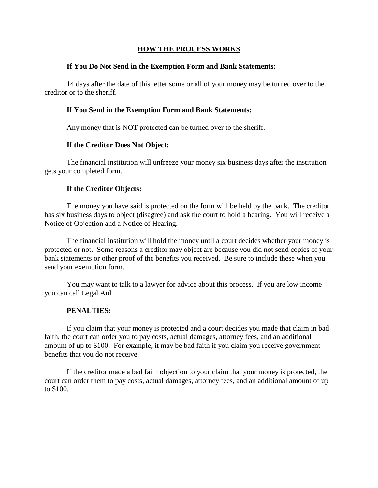#### **HOW THE PROCESS WORKS**

#### **If You Do Not Send in the Exemption Form and Bank Statements:**

14 days after the date of this letter some or all of your money may be turned over to the creditor or to the sheriff.

#### **If You Send in the Exemption Form and Bank Statements:**

Any money that is NOT protected can be turned over to the sheriff.

#### **If the Creditor Does Not Object:**

The financial institution will unfreeze your money six business days after the institution gets your completed form.

### **If the Creditor Objects:**

The money you have said is protected on the form will be held by the bank. The creditor has six business days to object (disagree) and ask the court to hold a hearing. You will receive a Notice of Objection and a Notice of Hearing.

The financial institution will hold the money until a court decides whether your money is protected or not. Some reasons a creditor may object are because you did not send copies of your bank statements or other proof of the benefits you received. Be sure to include these when you send your exemption form.

You may want to talk to a lawyer for advice about this process. If you are low income you can call Legal Aid.

### **PENALTIES:**

If you claim that your money is protected and a court decides you made that claim in bad faith, the court can order you to pay costs, actual damages, attorney fees, and an additional amount of up to \$100. For example, it may be bad faith if you claim you receive government benefits that you do not receive.

If the creditor made a bad faith objection to your claim that your money is protected, the court can order them to pay costs, actual damages, attorney fees, and an additional amount of up to \$100.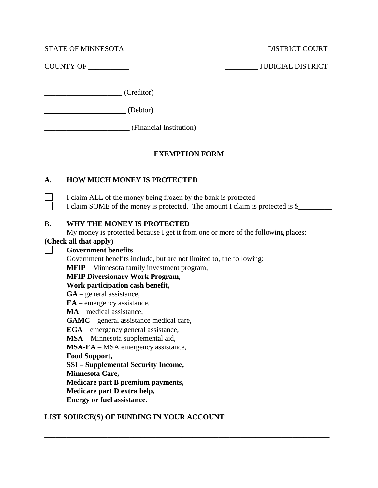STATE OF MINNESOTA DISTRICT COURT

COUNTY OF \_\_\_\_\_\_\_\_\_\_\_ \_\_\_\_\_\_\_\_\_ JUDICIAL DISTRICT

\_\_\_\_\_\_\_\_\_\_\_\_\_\_\_\_\_\_\_\_\_ (Creditor)

\_\_\_\_\_\_\_\_\_\_\_\_\_\_\_\_\_\_\_\_\_\_ (Debtor)

\_\_\_\_\_\_\_\_\_\_\_\_\_\_\_\_\_\_\_\_\_\_\_ (Financial Institution)

# **EXEMPTION FORM**

# **A. HOW MUCH MONEY IS PROTECTED**

I claim ALL of the money being frozen by the bank is protected I claim SOME of the money is protected. The amount I claim is protected is \$

# B. **WHY THE MONEY IS PROTECTED**

My money is protected because I get it from one or more of the following places:

\_\_\_\_\_\_\_\_\_\_\_\_\_\_\_\_\_\_\_\_\_\_\_\_\_\_\_\_\_\_\_\_\_\_\_\_\_\_\_\_\_\_\_\_\_\_\_\_\_\_\_\_\_\_\_\_\_\_\_\_\_\_\_\_\_\_\_\_\_\_\_\_\_\_\_\_\_

# **(Check all that apply)**

 $\mathsf{L}$ 

**Government benefits**

Government benefits include, but are not limited to, the following: **MFIP** – Minnesota family investment program,

## **MFIP Diversionary Work Program,**

**Work participation cash benefit,**

**GA** – general assistance,

**EA** – emergency assistance,

**MA** – medical assistance,

**GAMC** – general assistance medical care,

**EGA** – emergency general assistance,

**MSA** – Minnesota supplemental aid,

**MSA-EA** – MSA emergency assistance,

**Food Support,**

**SSI – Supplemental Security Income,**

**Minnesota Care,**

**Medicare part B premium payments,**

**Medicare part D extra help,**

**Energy or fuel assistance.**

# **LIST SOURCE(S) OF FUNDING IN YOUR ACCOUNT**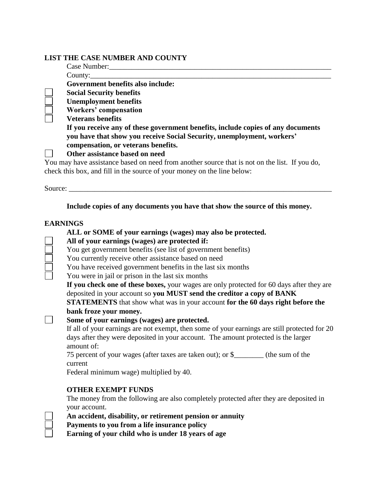## **LIST THE CASE NUMBER AND COUNTY**

| Case Number:                                                                                  |
|-----------------------------------------------------------------------------------------------|
| Country:                                                                                      |
| Government benefits also include:                                                             |
| <b>Social Security benefits</b>                                                               |
| <b>Unemployment benefits</b>                                                                  |
| Workers' compensation                                                                         |
| <b>Veterans benefits</b>                                                                      |
| If you receive any of these government benefits, include copies of any documents              |
| you have that show you receive Social Security, unemployment, workers'                        |
| compensation, or veterans benefits.                                                           |
| Other assistance based on need                                                                |
| You may have assistance based on need from another source that is not on the list. If you do, |
| check this box, and fill in the source of your money on the line below:                       |
|                                                                                               |

Source: \_\_\_\_\_\_\_\_\_\_\_\_\_\_\_\_\_\_\_\_\_\_\_\_\_\_\_\_\_\_\_\_\_\_\_\_\_\_\_\_\_\_\_\_\_\_\_\_\_\_\_\_\_\_\_\_\_\_\_\_\_\_\_\_\_\_\_\_\_\_\_

 $\Box$ 

# **Include copies of any documents you have that show the source of this money.**

## **EARNINGS**

| ALL or SOME of your earnings (wages) may also be protected.                                                                                                                                       |
|---------------------------------------------------------------------------------------------------------------------------------------------------------------------------------------------------|
| All of your earnings (wages) are protected if:                                                                                                                                                    |
| You get government benefits (see list of government benefits)                                                                                                                                     |
| You currently receive other assistance based on need                                                                                                                                              |
| You have received government benefits in the last six months                                                                                                                                      |
| You were in jail or prison in the last six months                                                                                                                                                 |
| If you check one of these boxes, your wages are only protected for 60 days after they are                                                                                                         |
| deposited in your account so you MUST send the creditor a copy of BANK                                                                                                                            |
| <b>STATEMENTS</b> that show what was in your account for the 60 days right before the                                                                                                             |
| bank froze your money.                                                                                                                                                                            |
| Some of your earnings (wages) are protected.                                                                                                                                                      |
| If all of your earnings are not exempt, then some of your earnings are still protected for 20<br>days after they were deposited in your account. The amount protected is the larger<br>amount of: |
| 75 percent of your wages (after taxes are taken out); or \$________ (the sum of the<br>current                                                                                                    |
| Federal minimum wage) multiplied by 40.                                                                                                                                                           |
| <b>OTHER EXEMPT FUNDS</b>                                                                                                                                                                         |
| The money from the following are also completely protected after they are deposited in                                                                                                            |
| your account.                                                                                                                                                                                     |
| An accident, disability, or retirement pension or annuity                                                                                                                                         |
| Payments to you from a life insurance policy                                                                                                                                                      |

**Earning of your child who is under 18 years of age**